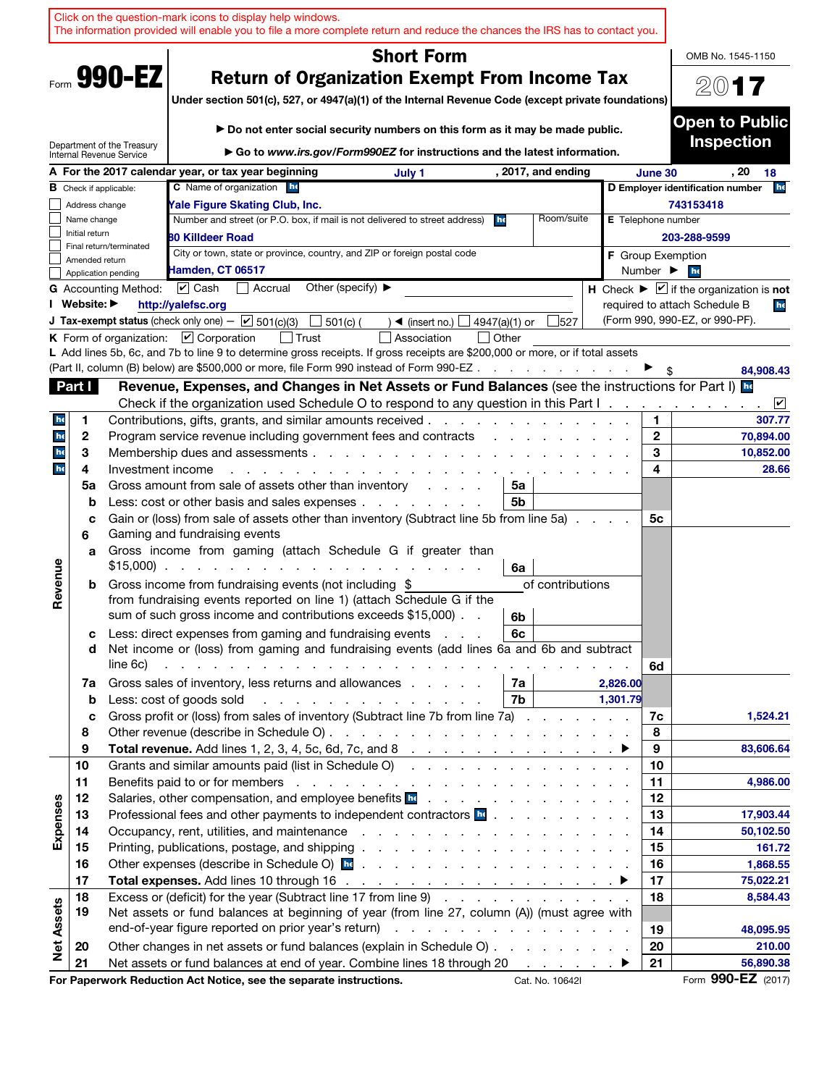|                   |                |                               | Click on the question-mark icons to display help windows.<br>The information provided will enable you to file a more complete return and reduce the chances the IRS has to contact you.                                                                                                                                     |                                       |                                                                                                                                                                               |               |                    |          |                              |                                                                                |
|-------------------|----------------|-------------------------------|-----------------------------------------------------------------------------------------------------------------------------------------------------------------------------------------------------------------------------------------------------------------------------------------------------------------------------|---------------------------------------|-------------------------------------------------------------------------------------------------------------------------------------------------------------------------------|---------------|--------------------|----------|------------------------------|--------------------------------------------------------------------------------|
|                   |                |                               |                                                                                                                                                                                                                                                                                                                             |                                       | <b>Short Form</b>                                                                                                                                                             |               |                    |          |                              | OMB No. 1545-1150                                                              |
|                   |                | Form 990-EZ                   |                                                                                                                                                                                                                                                                                                                             |                                       | <b>Return of Organization Exempt From Income Tax</b>                                                                                                                          |               |                    |          |                              | 2017                                                                           |
|                   |                |                               | Under section 501(c), 527, or 4947(a)(1) of the Internal Revenue Code (except private foundations)                                                                                                                                                                                                                          |                                       |                                                                                                                                                                               |               |                    |          |                              |                                                                                |
|                   |                |                               |                                                                                                                                                                                                                                                                                                                             |                                       | Do not enter social security numbers on this form as it may be made public.                                                                                                   |               |                    |          |                              | <b>Open to Public</b>                                                          |
|                   |                | Department of the Treasury    |                                                                                                                                                                                                                                                                                                                             |                                       | Go to www.irs.gov/Form990EZ for instructions and the latest information.                                                                                                      |               |                    |          |                              | <b>Inspection</b>                                                              |
|                   |                | Internal Revenue Service      | A For the 2017 calendar year, or tax year beginning                                                                                                                                                                                                                                                                         |                                       |                                                                                                                                                                               |               |                    |          | June 30                      | . 20                                                                           |
|                   |                | <b>B</b> Check if applicable: | <b>C</b> Name of organization he                                                                                                                                                                                                                                                                                            |                                       | July 1                                                                                                                                                                        |               | , 2017, and ending |          |                              | 18<br>he<br>D Employer identification number                                   |
|                   | Address change |                               | Yale Figure Skating Club, Inc.                                                                                                                                                                                                                                                                                              |                                       |                                                                                                                                                                               |               |                    |          |                              | 743153418                                                                      |
|                   | Name change    |                               | Number and street (or P.O. box, if mail is not delivered to street address)                                                                                                                                                                                                                                                 |                                       |                                                                                                                                                                               | he            | Room/suite         |          | <b>E</b> Telephone number    |                                                                                |
|                   | Initial return | Final return/terminated       | <b>80 Killdeer Road</b>                                                                                                                                                                                                                                                                                                     |                                       |                                                                                                                                                                               |               |                    |          |                              | 203-288-9599                                                                   |
|                   | Amended return |                               | City or town, state or province, country, and ZIP or foreign postal code                                                                                                                                                                                                                                                    |                                       |                                                                                                                                                                               |               |                    |          | <b>F</b> Group Exemption     |                                                                                |
|                   |                | Application pending           | Hamden, CT 06517                                                                                                                                                                                                                                                                                                            |                                       |                                                                                                                                                                               |               |                    |          | Number $\blacktriangleright$ | he                                                                             |
|                   | I Website: ▶   | <b>G</b> Accounting Method:   | $\boxed{\mathbf{v}}$ Cash<br>Accrual                                                                                                                                                                                                                                                                                        | Other (specify) $\blacktriangleright$ |                                                                                                                                                                               |               |                    |          |                              | <b>H</b> Check $\blacktriangleright \square$ if the organization is <b>not</b> |
|                   |                |                               | http://yalefsc.org<br><b>J Tax-exempt status</b> (check only one) - $\boxed{\mathbf{v}}$ 501(c)(3)                                                                                                                                                                                                                          | $501(c)$ (                            | $\rightarrow$ (insert no.)                                                                                                                                                    | 4947(a)(1) or | 527                |          |                              | required to attach Schedule B<br>he<br>(Form 990, 990-EZ, or 990-PF).          |
|                   |                |                               | K Form of organization: $\boxed{V}$ Corporation                                                                                                                                                                                                                                                                             |                                       | Association                                                                                                                                                                   | $\Box$ Other  |                    |          |                              |                                                                                |
|                   |                |                               | L Add lines 5b, 6c, and 7b to line 9 to determine gross receipts. If gross receipts are \$200,000 or more, or if total assets                                                                                                                                                                                               |                                       |                                                                                                                                                                               |               |                    |          |                              |                                                                                |
|                   |                |                               | (Part II, column (B) below) are \$500,000 or more, file Form 990 instead of Form 990-EZ                                                                                                                                                                                                                                     |                                       |                                                                                                                                                                               |               |                    |          |                              | 84,908.43                                                                      |
|                   | Part I         |                               | Revenue, Expenses, and Changes in Net Assets or Fund Balances (see the instructions for Part I) Ex                                                                                                                                                                                                                          |                                       |                                                                                                                                                                               |               |                    |          |                              |                                                                                |
|                   |                |                               | Check if the organization used Schedule O to respond to any question in this Part $1 \ldots \ldots$                                                                                                                                                                                                                         |                                       |                                                                                                                                                                               |               |                    |          |                              | $ \boldsymbol{v} $<br>$\sim$                                                   |
| he                | 1              |                               | Contributions, gifts, grants, and similar amounts received.                                                                                                                                                                                                                                                                 |                                       |                                                                                                                                                                               |               |                    |          | 1                            | 307.77                                                                         |
| he                | 2              |                               | Program service revenue including government fees and contracts                                                                                                                                                                                                                                                             |                                       |                                                                                                                                                                               |               |                    |          | $\mathbf{2}$                 | 70,894.00                                                                      |
| he<br>he          | 3<br>4         | Investment income             | Membership dues and assessments.                                                                                                                                                                                                                                                                                            |                                       | and a straight and a straight and                                                                                                                                             |               |                    |          | 3<br>4                       | 10,852.00<br>28.66                                                             |
|                   | 5a             |                               | Gross amount from sale of assets other than inventory                                                                                                                                                                                                                                                                       |                                       |                                                                                                                                                                               | 5a            |                    |          |                              |                                                                                |
|                   | b              |                               | Less: cost or other basis and sales expenses                                                                                                                                                                                                                                                                                |                                       |                                                                                                                                                                               | 5b            |                    |          |                              |                                                                                |
|                   | c              |                               | Gain or (loss) from sale of assets other than inventory (Subtract line 5b from line 5a)                                                                                                                                                                                                                                     |                                       |                                                                                                                                                                               |               |                    |          | 5c                           |                                                                                |
|                   | 6              |                               | Gaming and fundraising events                                                                                                                                                                                                                                                                                               |                                       |                                                                                                                                                                               |               |                    |          |                              |                                                                                |
|                   | a              |                               | Gross income from gaming (attach Schedule G if greater than<br>$$15,000$                                                                                                                                                                                                                                                    |                                       |                                                                                                                                                                               | 6a            |                    |          |                              |                                                                                |
| Revenue           | b              |                               | Gross income from fundraising events (not including \$                                                                                                                                                                                                                                                                      |                                       |                                                                                                                                                                               |               | of contributions   |          |                              |                                                                                |
|                   |                |                               | from fundraising events reported on line 1) (attach Schedule G if the                                                                                                                                                                                                                                                       |                                       |                                                                                                                                                                               |               |                    |          |                              |                                                                                |
|                   |                |                               | sum of such gross income and contributions exceeds \$15,000).                                                                                                                                                                                                                                                               |                                       |                                                                                                                                                                               | 6b            |                    |          |                              |                                                                                |
|                   | с              |                               | Less: direct expenses from gaming and fundraising events                                                                                                                                                                                                                                                                    |                                       |                                                                                                                                                                               | 6c            |                    |          |                              |                                                                                |
|                   | d              | line 6c)                      | Net income or (loss) from gaming and fundraising events (add lines 6a and 6b and subtract<br>in the company of the company of the company of the company of the company of the company of the company of the company of the company of the company of the company of the company of the company of the company of the compa |                                       |                                                                                                                                                                               |               |                    |          |                              |                                                                                |
|                   | 7a             |                               | Gross sales of inventory, less returns and allowances                                                                                                                                                                                                                                                                       |                                       |                                                                                                                                                                               | 7а            |                    | 2,826.00 | 6d                           |                                                                                |
|                   | $\mathbf b$    |                               | Less: cost of goods sold                                                                                                                                                                                                                                                                                                    |                                       | $\frac{1}{2}$ , $\frac{1}{2}$ , $\frac{1}{2}$ , $\frac{1}{2}$ , $\frac{1}{2}$ , $\frac{1}{2}$ , $\frac{1}{2}$ , $\frac{1}{2}$ , $\frac{1}{2}$ , $\frac{1}{2}$ , $\frac{1}{2}$ | 7b            |                    | 1,301.79 |                              |                                                                                |
|                   | c              |                               | Gross profit or (loss) from sales of inventory (Subtract line 7b from line 7a)                                                                                                                                                                                                                                              |                                       |                                                                                                                                                                               |               |                    |          | 7c                           | 1,524.21                                                                       |
|                   | 8              |                               |                                                                                                                                                                                                                                                                                                                             |                                       |                                                                                                                                                                               |               |                    |          | 8                            |                                                                                |
|                   | 9              |                               |                                                                                                                                                                                                                                                                                                                             |                                       |                                                                                                                                                                               |               |                    |          | 9                            | 83,606.64                                                                      |
|                   | 10             |                               | Grants and similar amounts paid (list in Schedule O)                                                                                                                                                                                                                                                                        |                                       |                                                                                                                                                                               |               |                    |          | 10                           |                                                                                |
|                   | 11<br>12       |                               | Salaries, other compensation, and employee benefits <b>be</b>                                                                                                                                                                                                                                                               |                                       |                                                                                                                                                                               |               |                    |          | 11<br>12                     | 4,986.00                                                                       |
| Expenses          | 13             |                               | Professional fees and other payments to independent contractors <b>be</b>                                                                                                                                                                                                                                                   |                                       |                                                                                                                                                                               |               |                    |          | 13                           | 17,903.44                                                                      |
|                   | 14             |                               | Occupancy, rent, utilities, and maintenance response to the contract of the contract of the contract of the contract of the contract of the contract of the contract of the contract of the contract of the contract of the co                                                                                              |                                       |                                                                                                                                                                               |               |                    |          | 14                           | 50,102.50                                                                      |
|                   | 15             |                               |                                                                                                                                                                                                                                                                                                                             |                                       |                                                                                                                                                                               |               |                    |          | 15                           | 161.72                                                                         |
|                   | 16             |                               | Other expenses (describe in Schedule O) <b>hence</b> is a contract to contract the contract of the contract of the contract of the contract of the contract of the contract of the contract of the contract of the contract of the                                                                                          |                                       |                                                                                                                                                                               |               |                    |          | 16                           | 1,868.55                                                                       |
|                   | 17             |                               |                                                                                                                                                                                                                                                                                                                             |                                       |                                                                                                                                                                               |               |                    |          | 17                           | 75,022.21                                                                      |
|                   | 18             |                               | Excess or (deficit) for the year (Subtract line 17 from line 9)                                                                                                                                                                                                                                                             |                                       |                                                                                                                                                                               |               |                    |          | 18                           | 8,584.43                                                                       |
| <b>Net Assets</b> | 19             |                               | Net assets or fund balances at beginning of year (from line 27, column (A)) (must agree with                                                                                                                                                                                                                                |                                       |                                                                                                                                                                               |               |                    |          |                              |                                                                                |
|                   |                |                               |                                                                                                                                                                                                                                                                                                                             |                                       |                                                                                                                                                                               |               |                    |          | 19                           | 48,095.95                                                                      |
|                   | 20             |                               | Other changes in net assets or fund balances (explain in Schedule O)                                                                                                                                                                                                                                                        |                                       |                                                                                                                                                                               |               |                    |          | 20                           | 210.00                                                                         |
|                   | 21             |                               | Net assets or fund balances at end of year. Combine lines 18 through 20 ▶                                                                                                                                                                                                                                                   |                                       |                                                                                                                                                                               |               |                    |          | 21                           | 56,890.38<br>Form 990-EZ (2017)                                                |
|                   |                |                               | For Paperwork Reduction Act Notice, see the separate instructions.                                                                                                                                                                                                                                                          |                                       |                                                                                                                                                                               |               | Cat. No. 10642I    |          |                              |                                                                                |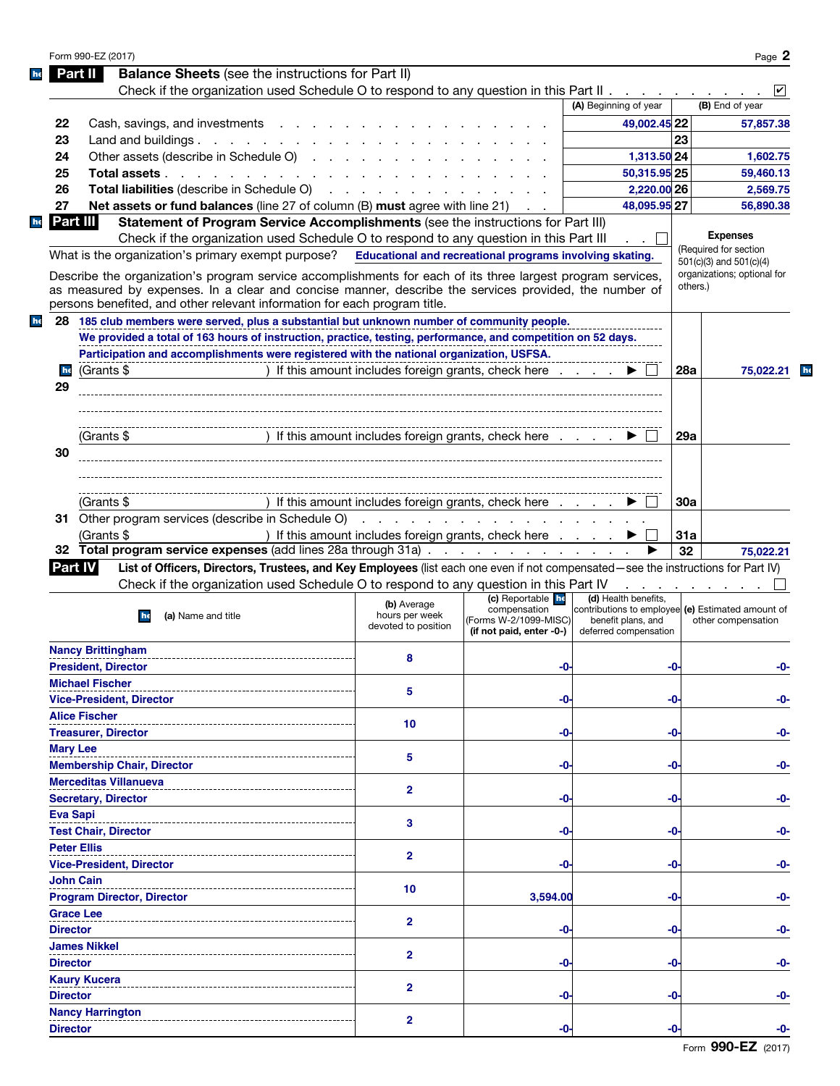|    | Form 990-EZ (2017)                                                                                                                                                                                                                                                                                |                                                                                                                 |                                                                   |                                                                                                  |            | Page 2                      |
|----|---------------------------------------------------------------------------------------------------------------------------------------------------------------------------------------------------------------------------------------------------------------------------------------------------|-----------------------------------------------------------------------------------------------------------------|-------------------------------------------------------------------|--------------------------------------------------------------------------------------------------|------------|-----------------------------|
|    | <b>Balance Sheets</b> (see the instructions for Part II)<br>Part II                                                                                                                                                                                                                               |                                                                                                                 |                                                                   |                                                                                                  |            |                             |
|    | Check if the organization used Schedule O to respond to any question in this Part II                                                                                                                                                                                                              |                                                                                                                 |                                                                   |                                                                                                  |            |                             |
|    |                                                                                                                                                                                                                                                                                                   |                                                                                                                 |                                                                   | (A) Beginning of year                                                                            |            | (B) End of year             |
| 22 | Cash, savings, and investments                                                                                                                                                                                                                                                                    |                                                                                                                 |                                                                   | 49.002.45 22                                                                                     |            | 57,857.38                   |
| 23 | Land and buildings $\ldots$ $\ldots$ $\ldots$ $\ldots$ $\ldots$                                                                                                                                                                                                                                   |                                                                                                                 |                                                                   |                                                                                                  | 23         |                             |
| 24 | Other assets (describe in Schedule O)                                                                                                                                                                                                                                                             |                                                                                                                 |                                                                   | 1,313.50 24                                                                                      |            | 1,602.75                    |
|    |                                                                                                                                                                                                                                                                                                   |                                                                                                                 |                                                                   | 50,315.95 25                                                                                     |            | 59,460.13                   |
| 25 | Total assets                                                                                                                                                                                                                                                                                      |                                                                                                                 |                                                                   |                                                                                                  |            |                             |
| 26 | Total liabilities (describe in Schedule O)                                                                                                                                                                                                                                                        | the contract of the contract of the contract of the contract of the contract of the contract of the contract of |                                                                   | 2,220.00 26                                                                                      |            | 2.569.75                    |
| 27 | Net assets or fund balances (line 27 of column (B) must agree with line 21)                                                                                                                                                                                                                       |                                                                                                                 |                                                                   | 48,095.95 27                                                                                     |            | 56,890.38                   |
|    | Statement of Program Service Accomplishments (see the instructions for Part III)<br>Part IIII                                                                                                                                                                                                     |                                                                                                                 |                                                                   |                                                                                                  |            | <b>Expenses</b>             |
|    | Check if the organization used Schedule O to respond to any question in this Part III                                                                                                                                                                                                             |                                                                                                                 |                                                                   |                                                                                                  |            | (Required for section       |
|    | What is the organization's primary exempt purpose?                                                                                                                                                                                                                                                |                                                                                                                 | Educational and recreational programs involving skating.          |                                                                                                  |            | $501(c)(3)$ and $501(c)(4)$ |
|    | Describe the organization's program service accomplishments for each of its three largest program services,<br>as measured by expenses. In a clear and concise manner, describe the services provided, the number of<br>persons benefited, and other relevant information for each program title. |                                                                                                                 |                                                                   |                                                                                                  | others.)   | organizations; optional for |
|    | 28 185 club members were served, plus a substantial but unknown number of community people.                                                                                                                                                                                                       |                                                                                                                 |                                                                   |                                                                                                  |            |                             |
|    | We provided a total of 163 hours of instruction, practice, testing, performance, and competition on 52 days.                                                                                                                                                                                      |                                                                                                                 |                                                                   |                                                                                                  |            |                             |
|    | Participation and accomplishments were registered with the national organization, USFSA.                                                                                                                                                                                                          |                                                                                                                 |                                                                   |                                                                                                  |            |                             |
| he | (Grants \$                                                                                                                                                                                                                                                                                        |                                                                                                                 | ) If this amount includes foreign grants, check here              |                                                                                                  | 28a        | 75,022.21<br>he             |
| 29 |                                                                                                                                                                                                                                                                                                   |                                                                                                                 |                                                                   |                                                                                                  |            |                             |
|    |                                                                                                                                                                                                                                                                                                   |                                                                                                                 |                                                                   |                                                                                                  |            |                             |
|    |                                                                                                                                                                                                                                                                                                   |                                                                                                                 |                                                                   |                                                                                                  |            |                             |
|    |                                                                                                                                                                                                                                                                                                   |                                                                                                                 |                                                                   |                                                                                                  |            |                             |
|    | (Grants \$                                                                                                                                                                                                                                                                                        |                                                                                                                 | ) If this amount includes foreign grants, check here              |                                                                                                  | <b>29a</b> |                             |
| 30 |                                                                                                                                                                                                                                                                                                   |                                                                                                                 |                                                                   |                                                                                                  |            |                             |
|    |                                                                                                                                                                                                                                                                                                   |                                                                                                                 |                                                                   |                                                                                                  |            |                             |
|    |                                                                                                                                                                                                                                                                                                   |                                                                                                                 |                                                                   |                                                                                                  |            |                             |
|    | (Grants \$                                                                                                                                                                                                                                                                                        | ) If this amount includes foreign grants, check here                                                            |                                                                   |                                                                                                  | 30a        |                             |
|    |                                                                                                                                                                                                                                                                                                   |                                                                                                                 |                                                                   |                                                                                                  |            |                             |
|    |                                                                                                                                                                                                                                                                                                   |                                                                                                                 |                                                                   |                                                                                                  |            |                             |
|    | (Grants \$                                                                                                                                                                                                                                                                                        |                                                                                                                 | ) If this amount includes foreign grants, check here              |                                                                                                  | 31a        |                             |
|    | 32 Total program service expenses (add lines 28a through 31a)                                                                                                                                                                                                                                     |                                                                                                                 |                                                                   |                                                                                                  | 32         | 75,022.21                   |
|    | List of Officers, Directors, Trustees, and Key Employees (list each one even if not compensated—see the instructions for Part IV)<br><b>Part IV</b>                                                                                                                                               |                                                                                                                 |                                                                   |                                                                                                  |            |                             |
|    | Check if the organization used Schedule O to respond to any question in this Part IV                                                                                                                                                                                                              |                                                                                                                 |                                                                   |                                                                                                  |            |                             |
|    |                                                                                                                                                                                                                                                                                                   |                                                                                                                 | (c) Reportable he                                                 | (d) Health benefits,                                                                             |            |                             |
|    | (a) Name and title<br>he                                                                                                                                                                                                                                                                          | (b) Average<br>hours per week<br>devoted to position                                                            | compensation<br>(Forms W-2/1099-MISC)<br>(if not paid, enter -0-) | contributions to employee (e) Estimated amount of<br>benefit plans, and<br>deferred compensation |            | other compensation          |
|    | <b>Nancy Brittingham</b>                                                                                                                                                                                                                                                                          |                                                                                                                 |                                                                   |                                                                                                  |            |                             |
|    | <b>President, Director</b>                                                                                                                                                                                                                                                                        | 8                                                                                                               | -0-                                                               |                                                                                                  | -0-        | -0-                         |
|    | <b>Michael Fischer</b>                                                                                                                                                                                                                                                                            |                                                                                                                 |                                                                   |                                                                                                  |            |                             |
|    | <b>Vice-President, Director</b>                                                                                                                                                                                                                                                                   | 5                                                                                                               | -0                                                                |                                                                                                  | -0-        | -0-                         |
|    | <b>Alice Fischer</b>                                                                                                                                                                                                                                                                              |                                                                                                                 |                                                                   |                                                                                                  |            |                             |
|    | <b>Treasurer, Director</b>                                                                                                                                                                                                                                                                        | 10                                                                                                              | -0                                                                |                                                                                                  | -0-        | -0-                         |
|    |                                                                                                                                                                                                                                                                                                   |                                                                                                                 |                                                                   |                                                                                                  |            |                             |
|    | <b>Mary Lee</b>                                                                                                                                                                                                                                                                                   | 5                                                                                                               |                                                                   |                                                                                                  |            |                             |
|    | <b>Membership Chair, Director</b>                                                                                                                                                                                                                                                                 |                                                                                                                 | -0                                                                |                                                                                                  | -0-        | -0-                         |
|    | <b>Merceditas Villanueva</b>                                                                                                                                                                                                                                                                      | 2                                                                                                               |                                                                   |                                                                                                  |            |                             |
|    | <b>Secretary, Director</b>                                                                                                                                                                                                                                                                        |                                                                                                                 | -0                                                                |                                                                                                  | -0-        | -0-                         |
|    | <b>Eva Sapi</b>                                                                                                                                                                                                                                                                                   | 3                                                                                                               |                                                                   |                                                                                                  |            |                             |
|    | <b>Test Chair, Director</b>                                                                                                                                                                                                                                                                       |                                                                                                                 | -0                                                                |                                                                                                  | -0-        | -0-                         |
|    | <b>Peter Ellis</b>                                                                                                                                                                                                                                                                                |                                                                                                                 |                                                                   |                                                                                                  |            |                             |
|    | <b>Vice-President, Director</b>                                                                                                                                                                                                                                                                   | 2                                                                                                               | -0                                                                |                                                                                                  | -0-        | -0-                         |
|    | <b>John Cain</b>                                                                                                                                                                                                                                                                                  |                                                                                                                 |                                                                   |                                                                                                  |            |                             |
|    | <b>Program Director, Director</b>                                                                                                                                                                                                                                                                 | 10                                                                                                              | 3,594.00                                                          |                                                                                                  | -0-        | -0-                         |
|    | <b>Grace Lee</b>                                                                                                                                                                                                                                                                                  |                                                                                                                 |                                                                   |                                                                                                  |            |                             |
|    | <b>Director</b>                                                                                                                                                                                                                                                                                   | $\mathbf{2}$                                                                                                    | -0                                                                |                                                                                                  | -0-        | -0-                         |
|    |                                                                                                                                                                                                                                                                                                   |                                                                                                                 |                                                                   |                                                                                                  |            |                             |
|    | <b>James Nikkel</b>                                                                                                                                                                                                                                                                               | $\mathbf{2}$                                                                                                    |                                                                   |                                                                                                  |            |                             |
|    | <b>Director</b>                                                                                                                                                                                                                                                                                   |                                                                                                                 | -0                                                                |                                                                                                  | -0-        | -0-                         |
|    | <b>Kaury Kucera</b>                                                                                                                                                                                                                                                                               | 2                                                                                                               |                                                                   |                                                                                                  |            |                             |
|    | <b>Director</b>                                                                                                                                                                                                                                                                                   |                                                                                                                 | -0                                                                |                                                                                                  | -0-        |                             |
|    | <b>Nancy Harrington</b>                                                                                                                                                                                                                                                                           | 2                                                                                                               |                                                                   |                                                                                                  |            |                             |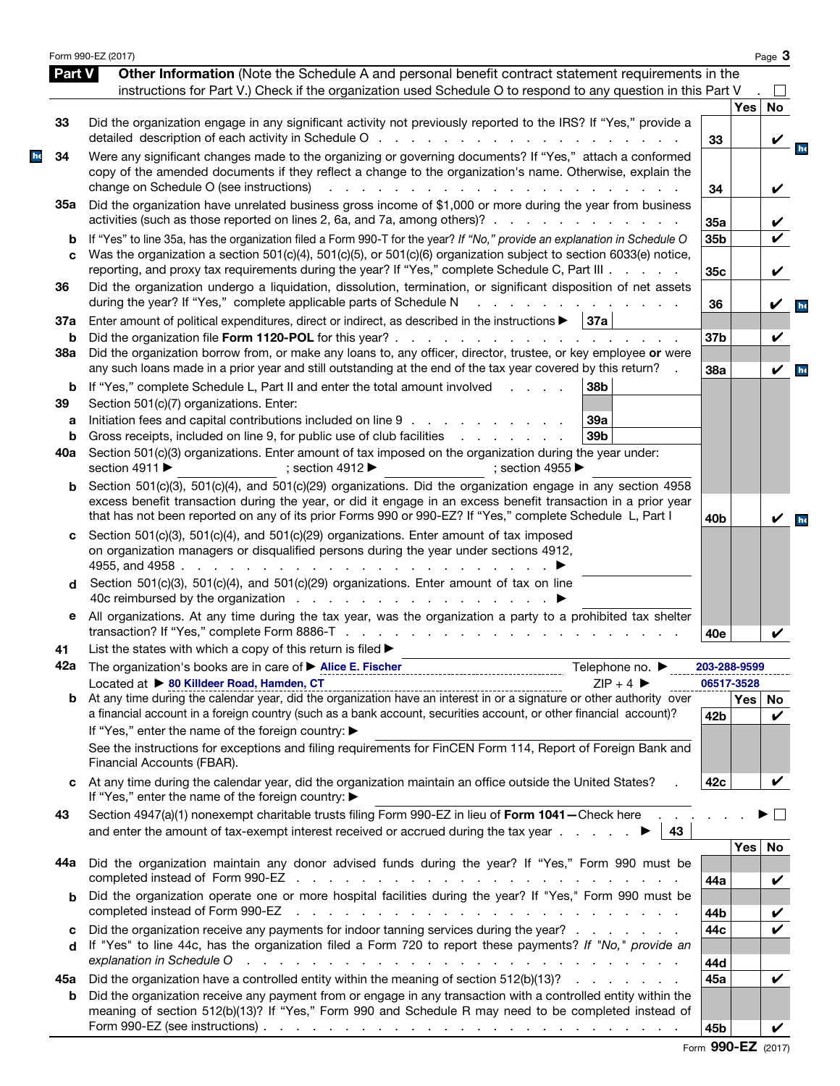| <b>Part V</b> | Form 990-EZ (2017)<br>Other Information (Note the Schedule A and personal benefit contract statement requirements in the                                                                                                                                                                                                                                      |                 |            | Page $3$                   |
|---------------|---------------------------------------------------------------------------------------------------------------------------------------------------------------------------------------------------------------------------------------------------------------------------------------------------------------------------------------------------------------|-----------------|------------|----------------------------|
|               | instructions for Part V.) Check if the organization used Schedule O to respond to any question in this Part V                                                                                                                                                                                                                                                 |                 |            |                            |
|               |                                                                                                                                                                                                                                                                                                                                                               |                 | Yes        | <b>No</b>                  |
| 33            | Did the organization engage in any significant activity not previously reported to the IRS? If "Yes," provide a                                                                                                                                                                                                                                               | 33              |            | V                          |
| 34            | Were any significant changes made to the organizing or governing documents? If "Yes," attach a conformed<br>copy of the amended documents if they reflect a change to the organization's name. Otherwise, explain the<br>change on Schedule O (see instructions)<br>$\mathbf{L} = \mathbf{L}$<br>and the contract of the con-                                 | 34              |            | V                          |
| 35а           | Did the organization have unrelated business gross income of \$1,000 or more during the year from business<br>activities (such as those reported on lines 2, 6a, and 7a, among others)?                                                                                                                                                                       | 35a             |            | V                          |
| b             | If "Yes" to line 35a, has the organization filed a Form 990-T for the year? If "No," provide an explanation in Schedule O                                                                                                                                                                                                                                     | 35b             |            | $\boldsymbol{\nu}$         |
| C             | Was the organization a section 501(c)(4), 501(c)(5), or 501(c)(6) organization subject to section 6033(e) notice,<br>reporting, and proxy tax requirements during the year? If "Yes," complete Schedule C, Part III                                                                                                                                           | 35c             |            | V                          |
| 36            | Did the organization undergo a liquidation, dissolution, termination, or significant disposition of net assets<br>during the year? If "Yes," complete applicable parts of Schedule N                                                                                                                                                                          | 36              |            | V                          |
| 37a           | Enter amount of political expenditures, direct or indirect, as described in the instructions $\blacktriangleright$<br>  37a                                                                                                                                                                                                                                   |                 |            |                            |
| b<br>38a      | Did the organization borrow from, or make any loans to, any officer, director, trustee, or key employee or were                                                                                                                                                                                                                                               | 37b             |            | V                          |
|               | any such loans made in a prior year and still outstanding at the end of the tax year covered by this return?                                                                                                                                                                                                                                                  | 38a             |            | $\boldsymbol{\mathcal{U}}$ |
| b<br>39       | If "Yes," complete Schedule L, Part II and enter the total amount involved<br>38b<br>$1 - 1 - 1 = 1$<br>Section 501(c)(7) organizations. Enter:                                                                                                                                                                                                               |                 |            |                            |
| а             | Initiation fees and capital contributions included on line 9<br>39a<br>39 <sub>b</sub>                                                                                                                                                                                                                                                                        |                 |            |                            |
| b<br>40a      | Gross receipts, included on line 9, for public use of club facilities<br>and the contract of the contract of<br>Section 501(c)(3) organizations. Enter amount of tax imposed on the organization during the year under:                                                                                                                                       |                 |            |                            |
|               | section 4911 ▶<br>: section 4912 $\blacktriangleright$<br>; section 4955 $\blacktriangleright$                                                                                                                                                                                                                                                                |                 |            |                            |
| b             | Section 501(c)(3), 501(c)(4), and 501(c)(29) organizations. Did the organization engage in any section 4958<br>excess benefit transaction during the year, or did it engage in an excess benefit transaction in a prior year<br>that has not been reported on any of its prior Forms 990 or 990-EZ? If "Yes," complete Schedule L, Part I                     | 40 <sub>b</sub> |            |                            |
| c<br>d        | Section 501(c)(3), 501(c)(4), and 501(c)(29) organizations. Enter amount of tax imposed<br>on organization managers or disqualified persons during the year under sections 4912,<br>4955, and 4958.<br>and a state of the state of the<br>Section 501(c)(3), 501(c)(4), and 501(c)(29) organizations. Enter amount of tax on line                             |                 |            |                            |
| е             | All organizations. At any time during the tax year, was the organization a party to a prohibited tax shelter                                                                                                                                                                                                                                                  |                 |            |                            |
|               | transaction? If "Yes," complete Form 8886-T                                                                                                                                                                                                                                                                                                                   | 40e             |            |                            |
| 41            | List the states with which a copy of this return is filed ><br>42a The organization's books are in care of > Alice E. Fischer<br>Telephone no. ▶                                                                                                                                                                                                              | 203-288-9599    |            |                            |
|               | Located at > 80 Killdeer Road, Hamden, CT<br>$ZIP + 4$                                                                                                                                                                                                                                                                                                        |                 | 06517-3528 |                            |
| b             | Located at $\triangleright$ 80 Killdeer Road, Hamden, CT<br>At any time during the calendar year, did the organization have an interest in or a signature or other authority over<br>a financial account in a foreign country (such as a bank account, securities account, or other financial account)?<br>If "Yes," enter the name of the foreign country: ▶ | 42b             | Yes   No   | ✓                          |
|               | See the instructions for exceptions and filing requirements for FinCEN Form 114, Report of Foreign Bank and<br>Financial Accounts (FBAR).                                                                                                                                                                                                                     |                 |            |                            |
| c             | At any time during the calendar year, did the organization maintain an office outside the United States?<br>If "Yes," enter the name of the foreign country: ▶                                                                                                                                                                                                | 42c             |            |                            |
| 43            | Section 4947(a)(1) nonexempt charitable trusts filing Form 990-EZ in lieu of Form 1041-Check here<br>and enter the amount of tax-exempt interest received or accrued during the tax year $\ldots$<br>43                                                                                                                                                       |                 |            |                            |
|               | Did the organization maintain any donor advised funds during the year? If "Yes," Form 990 must be                                                                                                                                                                                                                                                             |                 | Yes        | No                         |
| 44а           |                                                                                                                                                                                                                                                                                                                                                               | 44a             |            | V                          |
| b             | Did the organization operate one or more hospital facilities during the year? If "Yes," Form 990 must be<br>completed instead of Form 990-EZ<br>the contract of the contract of the contract of the contract of the contract of the contract of                                                                                                               | 44b             |            | V                          |
| c             | Did the organization receive any payments for indoor tanning services during the year?                                                                                                                                                                                                                                                                        | 44c             |            |                            |
| d             | If "Yes" to line 44c, has the organization filed a Form 720 to report these payments? If "No," provide an<br>explanation in Schedule O response to the contract of the contract of the contract of the contract of the contract of the contract of the contract of the contract of the contract of the contract of the contract of the cont                   | 44d             |            |                            |
| 45а           | Did the organization have a controlled entity within the meaning of section 512(b)(13)?                                                                                                                                                                                                                                                                       | 45a             |            | V                          |
| b             | Did the organization receive any payment from or engage in any transaction with a controlled entity within the<br>meaning of section 512(b)(13)? If "Yes," Form 990 and Schedule R may need to be completed instead of                                                                                                                                        |                 |            |                            |
|               | Form 990-EZ (see instructions) $\ldots$ $\ldots$ $\ldots$ $\ldots$ $\ldots$ $\ldots$ $\ldots$ $\ldots$ $\ldots$ $\ldots$ $\ldots$                                                                                                                                                                                                                             | 45b             |            |                            |

|  | Form 990-EZ (2017) |  |
|--|--------------------|--|
|--|--------------------|--|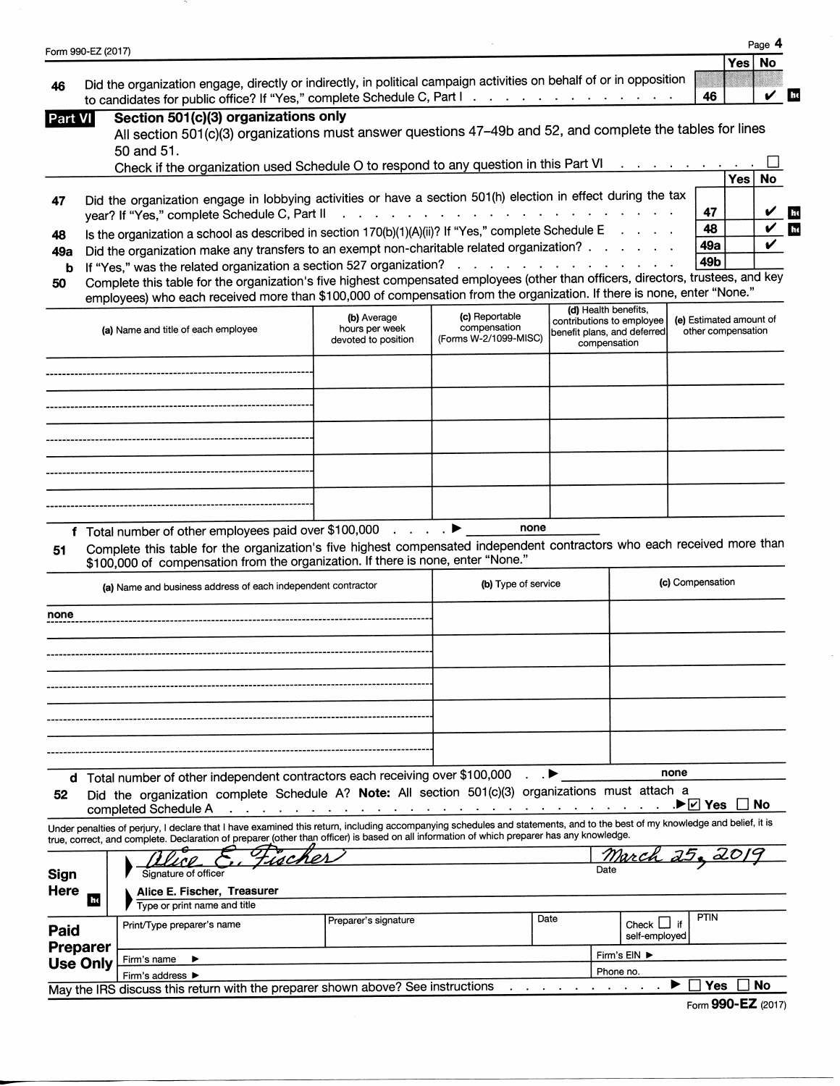| Form 990-EZ (2017)                                                             |                                                                                                                                                                                                                                                                                                                                   |                                                                                |                                                                                 |                                                                                                  |                                  |                                               |            |     |
|--------------------------------------------------------------------------------|-----------------------------------------------------------------------------------------------------------------------------------------------------------------------------------------------------------------------------------------------------------------------------------------------------------------------------------|--------------------------------------------------------------------------------|---------------------------------------------------------------------------------|--------------------------------------------------------------------------------------------------|----------------------------------|-----------------------------------------------|------------|-----|
|                                                                                |                                                                                                                                                                                                                                                                                                                                   |                                                                                |                                                                                 |                                                                                                  |                                  |                                               | <b>Yes</b> | No  |
| 46                                                                             | Did the organization engage, directly or indirectly, in political campaign activities on behalf of or in opposition<br>to candidates for public office? If "Yes," complete Schedule C, Part I                                                                                                                                     |                                                                                |                                                                                 |                                                                                                  |                                  | 46                                            |            | the |
| Part VI                                                                        | Section 501(c)(3) organizations only<br>All section 501(c)(3) organizations must answer questions 47-49b and 52, and complete the tables for lines                                                                                                                                                                                |                                                                                |                                                                                 |                                                                                                  |                                  |                                               |            |     |
|                                                                                | 50 and 51.                                                                                                                                                                                                                                                                                                                        |                                                                                |                                                                                 |                                                                                                  |                                  |                                               |            |     |
|                                                                                | Check if the organization used Schedule O to respond to any question in this Part VI                                                                                                                                                                                                                                              |                                                                                |                                                                                 |                                                                                                  |                                  |                                               | Yes        | No  |
| 47                                                                             | Did the organization engage in lobbying activities or have a section 501(h) election in effect during the tax<br>year? If "Yes," complete Schedule C, Part II                                                                                                                                                                     |                                                                                | the contract of the contract of the contract of the contract of the contract of |                                                                                                  |                                  | 47                                            |            |     |
| 48                                                                             | Is the organization a school as described in section 170(b)(1)(A)(ii)? If "Yes," complete Schedule E                                                                                                                                                                                                                              |                                                                                |                                                                                 |                                                                                                  |                                  | 48                                            |            |     |
| 49а                                                                            | Did the organization make any transfers to an exempt non-charitable related organization?                                                                                                                                                                                                                                         |                                                                                |                                                                                 |                                                                                                  |                                  | 49a<br>49b                                    |            |     |
| b<br>50                                                                        | If "Yes," was the related organization a section 527 organization?<br>Complete this table for the organization's five highest compensated employees (other than officers, directors, trustees, and key<br>employees) who each received more than \$100,000 of compensation from the organization. If there is none, enter "None." |                                                                                |                                                                                 |                                                                                                  |                                  |                                               |            |     |
|                                                                                | (a) Name and title of each employee                                                                                                                                                                                                                                                                                               | (b) Average<br>hours per week<br>devoted to position                           | (c) Reportable<br>compensation<br>(Forms W-2/1099-MISC)                         | (d) Health benefits,<br>contributions to employee<br>benefit plans, and deferred<br>compensation |                                  | (e) Estimated amount of<br>other compensation |            |     |
|                                                                                |                                                                                                                                                                                                                                                                                                                                   |                                                                                |                                                                                 |                                                                                                  |                                  |                                               |            |     |
|                                                                                |                                                                                                                                                                                                                                                                                                                                   |                                                                                |                                                                                 |                                                                                                  |                                  |                                               |            |     |
|                                                                                |                                                                                                                                                                                                                                                                                                                                   |                                                                                |                                                                                 |                                                                                                  |                                  |                                               |            |     |
|                                                                                |                                                                                                                                                                                                                                                                                                                                   |                                                                                |                                                                                 |                                                                                                  |                                  |                                               |            |     |
|                                                                                |                                                                                                                                                                                                                                                                                                                                   |                                                                                |                                                                                 |                                                                                                  |                                  |                                               |            |     |
|                                                                                |                                                                                                                                                                                                                                                                                                                                   |                                                                                |                                                                                 |                                                                                                  |                                  |                                               |            |     |
|                                                                                |                                                                                                                                                                                                                                                                                                                                   |                                                                                |                                                                                 |                                                                                                  |                                  |                                               |            |     |
|                                                                                | f Total number of other employees paid over \$100,000 ▶<br>Complete this table for the organization's five highest compensated independent contractors who each received more than<br>\$100,000 of compensation from the organization. If there is none, enter "None."                                                            |                                                                                | none                                                                            |                                                                                                  |                                  |                                               |            |     |
|                                                                                | (a) Name and business address of each independent contractor                                                                                                                                                                                                                                                                      |                                                                                | (b) Type of service                                                             |                                                                                                  |                                  | (c) Compensation                              |            |     |
|                                                                                |                                                                                                                                                                                                                                                                                                                                   |                                                                                |                                                                                 |                                                                                                  |                                  |                                               |            |     |
|                                                                                |                                                                                                                                                                                                                                                                                                                                   |                                                                                |                                                                                 |                                                                                                  |                                  |                                               |            |     |
|                                                                                |                                                                                                                                                                                                                                                                                                                                   |                                                                                |                                                                                 |                                                                                                  |                                  |                                               |            |     |
|                                                                                |                                                                                                                                                                                                                                                                                                                                   |                                                                                |                                                                                 |                                                                                                  |                                  |                                               |            |     |
|                                                                                |                                                                                                                                                                                                                                                                                                                                   |                                                                                |                                                                                 |                                                                                                  |                                  |                                               |            |     |
|                                                                                |                                                                                                                                                                                                                                                                                                                                   |                                                                                |                                                                                 |                                                                                                  |                                  |                                               |            |     |
|                                                                                |                                                                                                                                                                                                                                                                                                                                   |                                                                                |                                                                                 |                                                                                                  |                                  |                                               |            |     |
|                                                                                |                                                                                                                                                                                                                                                                                                                                   |                                                                                |                                                                                 |                                                                                                  |                                  |                                               |            |     |
|                                                                                | d Total number of other independent contractors each receiving over \$100,000<br>Did the organization complete Schedule A? Note: All section 501(c)(3) organizations must attach a                                                                                                                                                |                                                                                |                                                                                 |                                                                                                  |                                  | none<br>.▶☑ Yes                               | No         |     |
|                                                                                | completed Schedule A<br>Under penalties of perjury, I declare that I have examined this return, including accompanying schedules and statements, and to the best of my knowledge and belief, it is                                                                                                                                | and the company of the company of the company of the company of the company of | the company of the company of the company                                       |                                                                                                  |                                  |                                               |            |     |
|                                                                                | true, correct, and complete. Declaration of preparer (other than officer) is based on all information of which preparer has any knowledge.                                                                                                                                                                                        |                                                                                |                                                                                 |                                                                                                  |                                  |                                               |            |     |
|                                                                                | 14C<br>Signature of officer                                                                                                                                                                                                                                                                                                       |                                                                                |                                                                                 |                                                                                                  | <u>March 25, 20</u>              |                                               |            |     |
| Ex.                                                                            | Alice E. Fischer, Treasurer<br>Type or print name and title                                                                                                                                                                                                                                                                       |                                                                                |                                                                                 |                                                                                                  |                                  |                                               |            |     |
|                                                                                | Print/Type preparer's name                                                                                                                                                                                                                                                                                                        | Preparer's signature                                                           |                                                                                 | Date                                                                                             | Check $\Box$ if<br>self-employed | <b>PTIN</b>                                   |            |     |
|                                                                                | Firm's name                                                                                                                                                                                                                                                                                                                       |                                                                                |                                                                                 |                                                                                                  | Firm's EIN ▶                     |                                               |            |     |
| 51<br>none<br>52<br>Sign<br>Here<br>Paid<br><b>Preparer</b><br><b>Use Only</b> | Firm's address $\blacktriangleright$<br>May the IRS discuss this return with the preparer shown above? See instructions                                                                                                                                                                                                           |                                                                                |                                                                                 |                                                                                                  | Phone no.                        | Yes<br>▸                                      | No         |     |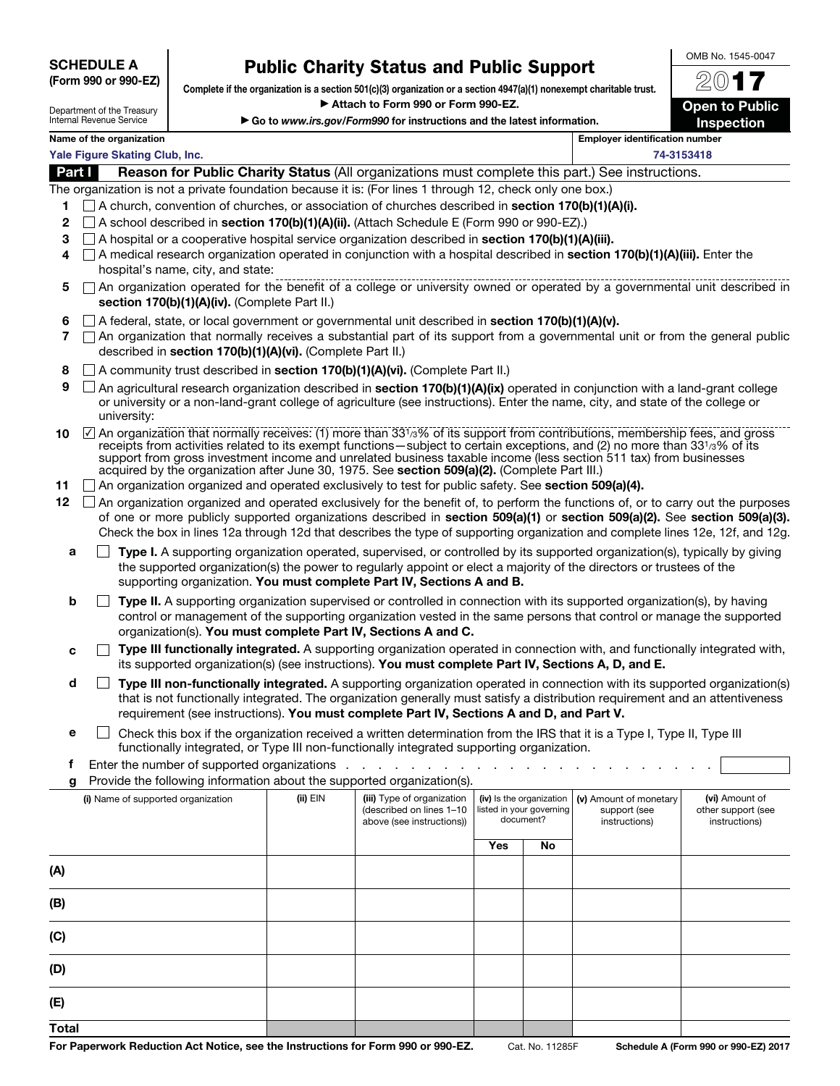**SCHEDULE A (Form 990 or 990-EZ)**

## **Public Charity Status and Public Support**

**Complete if the organization is a section 501(c)(3) organization or a section 4947(a)(1) nonexempt charitable trust.** ▶ Attach to Form 990 or Form 990-EZ.

▶ Go to *www.irs.gov/Form990* for instructions and the latest information.

OMB No. 1545-0047

| Department of the Treasury |
|----------------------------|
| Internal Revenue Service   |

**(C)**

**(D)**

**(E) Total**

20**17 Open to Public Inspection**

|  | ranne or ane organization.     |  |
|--|--------------------------------|--|
|  | Vale Figure Skating Club, Inc. |  |

**Name of the organization** 

|              | Yale Figure Skating Club, Inc.                                                                                                                                                                                                                                                                                                                                                                                                                                                   |          |                                                                                     |     |                                                                   |                                                         | 74-3153418                                            |
|--------------|----------------------------------------------------------------------------------------------------------------------------------------------------------------------------------------------------------------------------------------------------------------------------------------------------------------------------------------------------------------------------------------------------------------------------------------------------------------------------------|----------|-------------------------------------------------------------------------------------|-----|-------------------------------------------------------------------|---------------------------------------------------------|-------------------------------------------------------|
| Part I       | Reason for Public Charity Status (All organizations must complete this part.) See instructions.                                                                                                                                                                                                                                                                                                                                                                                  |          |                                                                                     |     |                                                                   |                                                         |                                                       |
|              | The organization is not a private foundation because it is: (For lines 1 through 12, check only one box.)                                                                                                                                                                                                                                                                                                                                                                        |          |                                                                                     |     |                                                                   |                                                         |                                                       |
| 1            | $\Box$ A church, convention of churches, or association of churches described in section 170(b)(1)(A)(i).                                                                                                                                                                                                                                                                                                                                                                        |          |                                                                                     |     |                                                                   |                                                         |                                                       |
| $\mathbf{2}$ | $\Box$ A school described in <b>section 170(b)(1)(A)(ii).</b> (Attach Schedule E (Form 990 or 990-EZ).)                                                                                                                                                                                                                                                                                                                                                                          |          |                                                                                     |     |                                                                   |                                                         |                                                       |
| 3            | $\Box$ A hospital or a cooperative hospital service organization described in <b>section 170(b)(1)(A)(iii).</b>                                                                                                                                                                                                                                                                                                                                                                  |          |                                                                                     |     |                                                                   |                                                         |                                                       |
| 4            | □ A medical research organization operated in conjunction with a hospital described in section 170(b)(1)(A)(iii). Enter the<br>hospital's name, city, and state:                                                                                                                                                                                                                                                                                                                 |          |                                                                                     |     |                                                                   |                                                         |                                                       |
| 5            | □ An organization operated for the benefit of a college or university owned or operated by a governmental unit described in<br>section 170(b)(1)(A)(iv). (Complete Part II.)                                                                                                                                                                                                                                                                                                     |          |                                                                                     |     |                                                                   |                                                         |                                                       |
| 6<br>7       | $\Box$ A federal, state, or local government or governmental unit described in section 170(b)(1)(A)(v).<br>$\Box$ An organization that normally receives a substantial part of its support from a governmental unit or from the general public<br>described in section 170(b)(1)(A)(vi). (Complete Part II.)                                                                                                                                                                     |          |                                                                                     |     |                                                                   |                                                         |                                                       |
| 8            | A community trust described in section 170(b)(1)(A)(vi). (Complete Part II.)                                                                                                                                                                                                                                                                                                                                                                                                     |          |                                                                                     |     |                                                                   |                                                         |                                                       |
| 9            | An agricultural research organization described in section 170(b)(1)(A)(ix) operated in conjunction with a land-grant college<br>or university or a non-land-grant college of agriculture (see instructions). Enter the name, city, and state of the college or<br>university:                                                                                                                                                                                                   |          |                                                                                     |     |                                                                   |                                                         |                                                       |
| 10           | ☑ An organization that normally receives: (1) more than 331/3% of its support from contributions, membership fees, and gross<br>receipts from activities related to its exempt functions-subject to certain exceptions, and (2) no more than 331/3% of its<br>support from gross investment income and unrelated business taxable income (less section 511 tax) from businesses<br>acquired by the organization after June 30, 1975. See section 509(a)(2). (Complete Part III.) |          |                                                                                     |     |                                                                   |                                                         |                                                       |
| 11           | $\Box$ An organization organized and operated exclusively to test for public safety. See section 509(a)(4).                                                                                                                                                                                                                                                                                                                                                                      |          |                                                                                     |     |                                                                   |                                                         |                                                       |
| 12           | $\Box$ An organization organized and operated exclusively for the benefit of, to perform the functions of, or to carry out the purposes<br>of one or more publicly supported organizations described in section 509(a)(1) or section 509(a)(2). See section 509(a)(3).<br>Check the box in lines 12a through 12d that describes the type of supporting organization and complete lines 12e, 12f, and 12g.                                                                        |          |                                                                                     |     |                                                                   |                                                         |                                                       |
| а            | Type I. A supporting organization operated, supervised, or controlled by its supported organization(s), typically by giving<br>the supported organization(s) the power to regularly appoint or elect a majority of the directors or trustees of the<br>supporting organization. You must complete Part IV, Sections A and B.                                                                                                                                                     |          |                                                                                     |     |                                                                   |                                                         |                                                       |
| b            | Type II. A supporting organization supervised or controlled in connection with its supported organization(s), by having<br>control or management of the supporting organization vested in the same persons that control or manage the supported<br>organization(s). You must complete Part IV, Sections A and C.                                                                                                                                                                 |          |                                                                                     |     |                                                                   |                                                         |                                                       |
| c            | Type III functionally integrated. A supporting organization operated in connection with, and functionally integrated with,<br>its supported organization(s) (see instructions). You must complete Part IV, Sections A, D, and E.                                                                                                                                                                                                                                                 |          |                                                                                     |     |                                                                   |                                                         |                                                       |
| d            | Type III non-functionally integrated. A supporting organization operated in connection with its supported organization(s)<br>that is not functionally integrated. The organization generally must satisfy a distribution requirement and an attentiveness<br>requirement (see instructions). You must complete Part IV, Sections A and D, and Part V.                                                                                                                            |          |                                                                                     |     |                                                                   |                                                         |                                                       |
| е            | Check this box if the organization received a written determination from the IRS that it is a Type I, Type II, Type III<br>functionally integrated, or Type III non-functionally integrated supporting organization.                                                                                                                                                                                                                                                             |          |                                                                                     |     |                                                                   |                                                         |                                                       |
| f            | Enter the number of supported organizations                                                                                                                                                                                                                                                                                                                                                                                                                                      |          |                                                                                     |     |                                                                   |                                                         |                                                       |
| g            | Provide the following information about the supported organization(s).                                                                                                                                                                                                                                                                                                                                                                                                           |          |                                                                                     |     |                                                                   |                                                         |                                                       |
|              | (i) Name of supported organization                                                                                                                                                                                                                                                                                                                                                                                                                                               | (ii) EIN | (iii) Type of organization<br>(described on lines 1-10<br>above (see instructions)) |     | (iv) Is the organization<br>listed in your governing<br>document? | (v) Amount of monetary<br>support (see<br>instructions) | (vi) Amount of<br>other support (see<br>instructions) |
|              |                                                                                                                                                                                                                                                                                                                                                                                                                                                                                  |          |                                                                                     | Yes | No                                                                |                                                         |                                                       |
| (A)          |                                                                                                                                                                                                                                                                                                                                                                                                                                                                                  |          |                                                                                     |     |                                                                   |                                                         |                                                       |
| (B)          |                                                                                                                                                                                                                                                                                                                                                                                                                                                                                  |          |                                                                                     |     |                                                                   |                                                         |                                                       |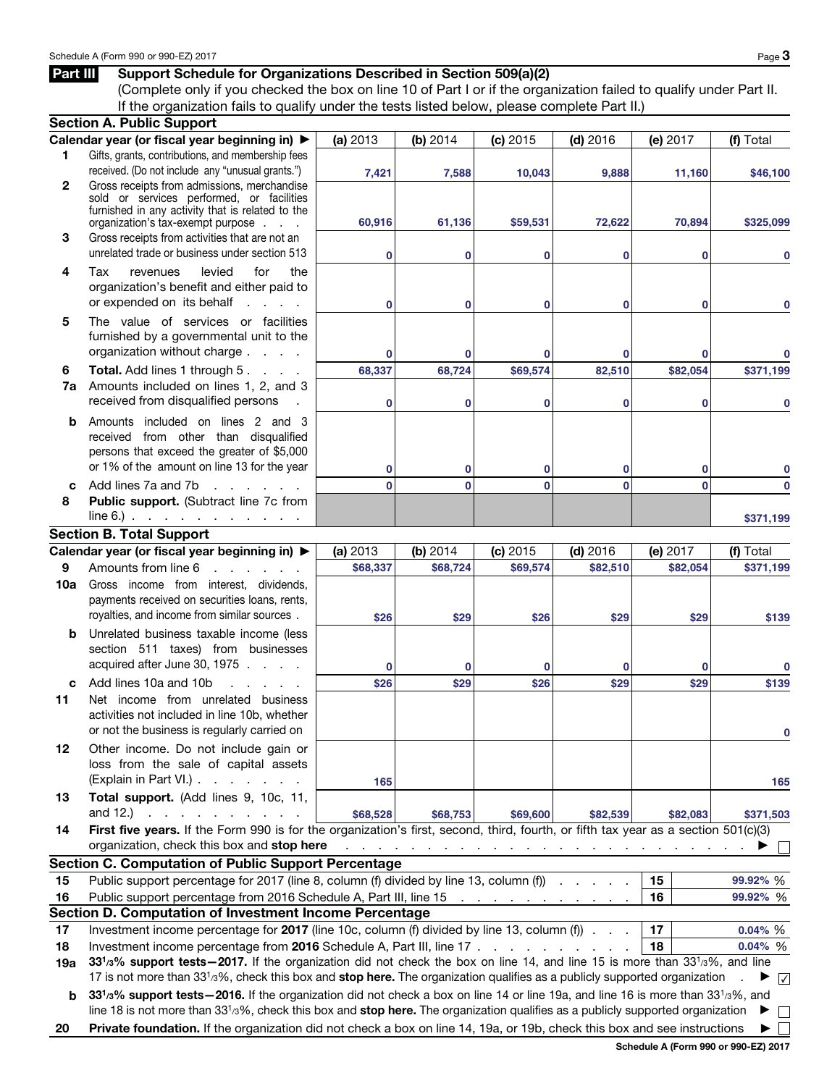## **Part III** Support Schedule for Organizations Described in Section 509(a)(2)

(Complete only if you checked the box on line 10 of Part I or if the organization failed to qualify under Part II. If the organization fails to qualify under the tests listed below, please complete Part II.)

|              | <b>Section A. Public Support</b>                                                                                                                            |              |              |                                                                   |            |              |                   |
|--------------|-------------------------------------------------------------------------------------------------------------------------------------------------------------|--------------|--------------|-------------------------------------------------------------------|------------|--------------|-------------------|
|              | Calendar year (or fiscal year beginning in) ▶                                                                                                               | (a) 2013     | (b) 2014     | (c) 2015                                                          | $(d)$ 2016 | (e) 2017     | (f) Total         |
| 1.           | Gifts, grants, contributions, and membership fees                                                                                                           |              |              |                                                                   |            |              |                   |
|              | received. (Do not include any "unusual grants.")                                                                                                            | 7,421        | 7,588        | 10,043                                                            | 9,888      | 11,160       | \$46,100          |
| $\mathbf{2}$ | Gross receipts from admissions, merchandise                                                                                                                 |              |              |                                                                   |            |              |                   |
|              | sold or services performed, or facilities<br>furnished in any activity that is related to the                                                               |              |              |                                                                   |            |              |                   |
|              | organization's tax-exempt purpose                                                                                                                           | 60,916       | 61,136       | \$59,531                                                          | 72,622     | 70,894       | \$325,099         |
| 3            | Gross receipts from activities that are not an                                                                                                              |              |              |                                                                   |            |              |                   |
|              | unrelated trade or business under section 513                                                                                                               | $\mathbf 0$  | 0            | 0                                                                 | 0          | 0            | 0                 |
| 4            | levied<br>Tax<br>for<br>the<br>revenues                                                                                                                     |              |              |                                                                   |            |              |                   |
|              | organization's benefit and either paid to                                                                                                                   |              |              |                                                                   |            |              |                   |
|              | or expended on its behalf<br><b>Service State</b>                                                                                                           | $\bf{0}$     | $\bf{0}$     | 0                                                                 | 0          | 0            | 0                 |
| 5            | The value of services or facilities                                                                                                                         |              |              |                                                                   |            |              |                   |
|              | furnished by a governmental unit to the                                                                                                                     |              |              |                                                                   |            |              |                   |
|              | organization without charge                                                                                                                                 | $\mathbf 0$  | 0            | 0                                                                 | 0          | 0            |                   |
| 6            | Total. Add lines 1 through 5.                                                                                                                               | 68,337       | 68,724       | \$69,574                                                          | 82,510     | \$82,054     | \$371,199         |
| 7a           | Amounts included on lines 1, 2, and 3                                                                                                                       |              |              |                                                                   |            |              |                   |
|              | received from disqualified persons                                                                                                                          | $\mathbf 0$  | 0            | 0                                                                 | 0          | 0            | 0                 |
| b            | Amounts included on lines 2 and 3                                                                                                                           |              |              |                                                                   |            |              |                   |
|              | received from other than disqualified                                                                                                                       |              |              |                                                                   |            |              |                   |
|              | persons that exceed the greater of \$5,000                                                                                                                  |              |              |                                                                   |            |              |                   |
|              | or 1% of the amount on line 13 for the year                                                                                                                 | 0            | 0            | 0                                                                 | 0          | 0            | 0                 |
| C            | Add lines 7a and 7b<br>and the company of the company                                                                                                       | $\mathbf{0}$ | $\mathbf{0}$ | $\mathbf{0}$                                                      | $\bf{0}$   | $\mathbf{0}$ | 0                 |
| 8            | Public support. (Subtract line 7c from                                                                                                                      |              |              |                                                                   |            |              |                   |
|              | $line 6$ . $\therefore$ $\therefore$ $\therefore$ $\therefore$ $\therefore$ $\therefore$ $\therefore$                                                       |              |              |                                                                   |            |              | \$371,199         |
|              | <b>Section B. Total Support</b>                                                                                                                             |              |              |                                                                   |            |              |                   |
|              | Calendar year (or fiscal year beginning in) ▶                                                                                                               | (a) 2013     | (b) 2014     | (c) 2015                                                          | $(d)$ 2016 | (e) 2017     | (f) Total         |
| 9            | Amounts from line 6<br>and the second control of the second                                                                                                 | \$68,337     | \$68,724     | \$69,574                                                          | \$82,510   | \$82,054     | \$371,199         |
| 10a          | Gross income from interest, dividends,                                                                                                                      |              |              |                                                                   |            |              |                   |
|              | payments received on securities loans, rents,                                                                                                               |              |              |                                                                   |            |              |                   |
|              | royalties, and income from similar sources.                                                                                                                 | \$26         | \$29         | \$26                                                              | \$29       | \$29         | \$139             |
| b            | Unrelated business taxable income (less                                                                                                                     |              |              |                                                                   |            |              |                   |
|              | section 511 taxes) from businesses                                                                                                                          |              |              |                                                                   |            |              |                   |
|              | acquired after June 30, 1975                                                                                                                                | $\mathbf 0$  | 0            | $\bf{0}$                                                          | 0          | 0            | 0                 |
| C            | Add lines 10a and 10b<br>and a state of                                                                                                                     | \$26         | \$29         | \$26                                                              | \$29       | \$29         | \$139             |
| 11           | Net income from unrelated business                                                                                                                          |              |              |                                                                   |            |              |                   |
|              | activities not included in line 10b, whether                                                                                                                |              |              |                                                                   |            |              |                   |
|              | or not the business is regularly carried on                                                                                                                 |              |              |                                                                   |            |              |                   |
| 12           | Other income. Do not include gain or                                                                                                                        |              |              |                                                                   |            |              |                   |
|              | loss from the sale of capital assets                                                                                                                        |              |              |                                                                   |            |              |                   |
|              | (Explain in Part VI.)                                                                                                                                       | 165          |              |                                                                   |            |              | 165               |
| 13           | Total support. (Add lines 9, 10c, 11,                                                                                                                       |              |              |                                                                   |            |              |                   |
|              | and 12.) $\cdots$ $\cdots$                                                                                                                                  | \$68,528     | \$68,753     | \$69,600                                                          | \$82,539   | \$82,083     | \$371,503         |
| 14           | First five years. If the Form 990 is for the organization's first, second, third, fourth, or fifth tax year as a section 501(c)(3)                          |              |              |                                                                   |            |              |                   |
|              | organization, check this box and stop here                                                                                                                  |              |              | والمتحاوية والمتحاولة والمتحاولة والمتحاولة والمتحاولة والمتحاولة |            |              |                   |
|              | <b>Section C. Computation of Public Support Percentage</b>                                                                                                  |              |              |                                                                   |            |              |                   |
| 15           | Public support percentage for 2017 (line 8, column (f) divided by line 13, column (f)                                                                       |              |              |                                                                   |            | 15           | 99.92% %          |
| 16           | Public support percentage from 2016 Schedule A, Part III, line 15                                                                                           |              |              | and a series of the company of the                                |            | 16           | 99.92% %          |
|              | Section D. Computation of Investment Income Percentage                                                                                                      |              |              |                                                                   |            |              |                   |
| 17           | Investment income percentage for 2017 (line 10c, column (f) divided by line 13, column (f)                                                                  |              |              |                                                                   |            | 17           | $0.04\%$ %        |
| 18           | Investment income percentage from 2016 Schedule A, Part III, line 17                                                                                        |              |              |                                                                   |            | 18           | 0.04% %           |
| 19a          | 33 <sup>1</sup> /3% support tests - 2017. If the organization did not check the box on line 14, and line 15 is more than 33 <sup>1</sup> /3%, and line      |              |              |                                                                   |            |              |                   |
|              | 17 is not more than 33 <sup>1</sup> /3%, check this box and stop here. The organization qualifies as a publicly supported organization                      |              |              |                                                                   |            |              | $\checkmark$<br>▸ |
| b            | 33 <sup>1</sup> /3% support tests - 2016. If the organization did not check a box on line 14 or line 19a, and line 16 is more than 33 <sup>1</sup> /3%, and |              |              |                                                                   |            |              |                   |
|              | line 18 is not more than $3313%$ , check this box and stop here. The organization qualifies as a publicly supported organization                            |              |              |                                                                   |            |              | $\mathbb{R}^n$    |
| 20           | Private foundation. If the organization did not check a box on line 14, 19a, or 19b, check this box and see instructions                                    |              |              |                                                                   |            |              | $\mathbf{I}$      |
|              |                                                                                                                                                             |              |              |                                                                   |            |              |                   |

**Schedule A (Form 990 or 990-EZ) 2017**